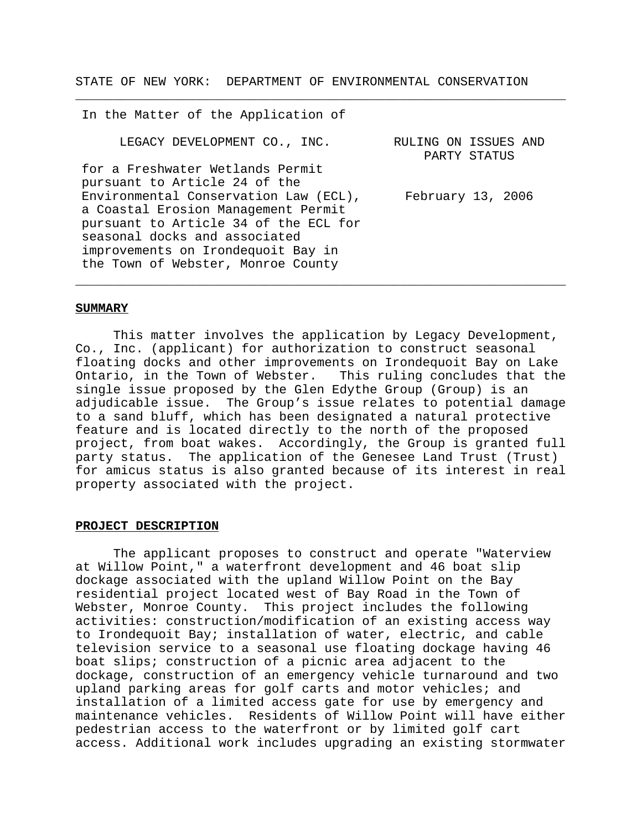STATE OF NEW YORK: DEPARTMENT OF ENVIRONMENTAL CONSERVATION

\_\_\_\_\_\_\_\_\_\_\_\_\_\_\_\_\_\_\_\_\_\_\_\_\_\_\_\_\_\_\_\_\_\_\_\_\_\_\_\_\_\_\_\_\_\_\_\_\_\_\_\_\_\_\_\_\_\_\_\_\_\_\_\_\_

In the Matter of the Application of LEGACY DEVELOPMENT CO., INC. for a Freshwater Wetlands Permit pursuant to Article 24 of the Environmental Conservation Law (ECL), a Coastal Erosion Management Permit pursuant to Article 34 of the ECL for seasonal docks and associated improvements on Irondequoit Bay in the Town of Webster, Monroe County RULING ON ISSUES AND PARTY STATUS February 13, 2006

\_\_\_\_\_\_\_\_\_\_\_\_\_\_\_\_\_\_\_\_\_\_\_\_\_\_\_\_\_\_\_\_\_\_\_\_\_\_\_\_\_\_\_\_\_\_\_\_\_\_\_\_\_\_\_\_\_\_\_\_\_\_\_\_\_

### **SUMMARY**

This matter involves the application by Legacy Development, Co., Inc. (applicant) for authorization to construct seasonal floating docks and other improvements on Irondequoit Bay on Lake Ontario, in the Town of Webster. This ruling concludes that the single issue proposed by the Glen Edythe Group (Group) is an adjudicable issue. The Group's issue relates to potential damage to a sand bluff, which has been designated a natural protective feature and is located directly to the north of the proposed project, from boat wakes. Accordingly, the Group is granted full party status. The application of the Genesee Land Trust (Trust) for amicus status is also granted because of its interest in real property associated with the project.

# **PROJECT DESCRIPTION**

The applicant proposes to construct and operate "Waterview at Willow Point," a waterfront development and 46 boat slip dockage associated with the upland Willow Point on the Bay residential project located west of Bay Road in the Town of Webster, Monroe County. This project includes the following activities: construction/modification of an existing access way to Irondequoit Bay; installation of water, electric, and cable television service to a seasonal use floating dockage having 46 boat slips; construction of a picnic area adjacent to the dockage, construction of an emergency vehicle turnaround and two upland parking areas for golf carts and motor vehicles; and installation of a limited access gate for use by emergency and maintenance vehicles. Residents of Willow Point will have either pedestrian access to the waterfront or by limited golf cart access. Additional work includes upgrading an existing stormwater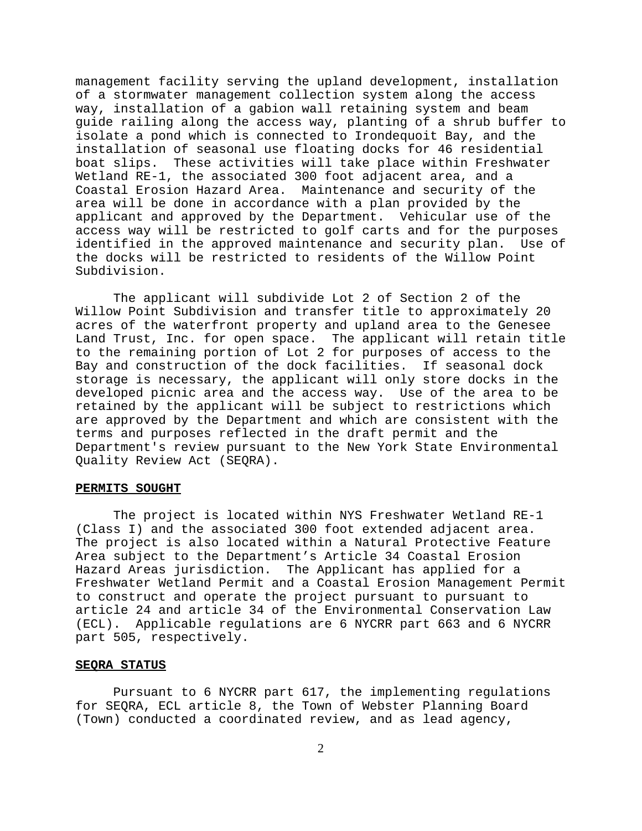management facility serving the upland development, installation of a stormwater management collection system along the access way, installation of a gabion wall retaining system and beam guide railing along the access way, planting of a shrub buffer to isolate a pond which is connected to Irondequoit Bay, and the installation of seasonal use floating docks for 46 residential boat slips. These activities will take place within Freshwater Wetland RE-1, the associated 300 foot adjacent area, and a Coastal Erosion Hazard Area. Maintenance and security of the area will be done in accordance with a plan provided by the applicant and approved by the Department. Vehicular use of the access way will be restricted to golf carts and for the purposes identified in the approved maintenance and security plan. Use of the docks will be restricted to residents of the Willow Point Subdivision.

The applicant will subdivide Lot 2 of Section 2 of the Willow Point Subdivision and transfer title to approximately 20 acres of the waterfront property and upland area to the Genesee Land Trust, Inc. for open space. The applicant will retain title to the remaining portion of Lot 2 for purposes of access to the Bay and construction of the dock facilities. If seasonal dock storage is necessary, the applicant will only store docks in the developed picnic area and the access way. Use of the area to be retained by the applicant will be subject to restrictions which are approved by the Department and which are consistent with the terms and purposes reflected in the draft permit and the Department's review pursuant to the New York State Environmental Quality Review Act (SEQRA).

#### **PERMITS SOUGHT**

The project is located within NYS Freshwater Wetland RE-1 (Class I) and the associated 300 foot extended adjacent area. The project is also located within a Natural Protective Feature Area subject to the Department's Article 34 Coastal Erosion Hazard Areas jurisdiction. The Applicant has applied for a Freshwater Wetland Permit and a Coastal Erosion Management Permit to construct and operate the project pursuant to pursuant to article 24 and article 34 of the Environmental Conservation Law (ECL). Applicable regulations are 6 NYCRR part 663 and 6 NYCRR part 505, respectively.

# **SEQRA STATUS**

Pursuant to 6 NYCRR part 617, the implementing regulations for SEQRA, ECL article 8, the Town of Webster Planning Board (Town) conducted a coordinated review, and as lead agency,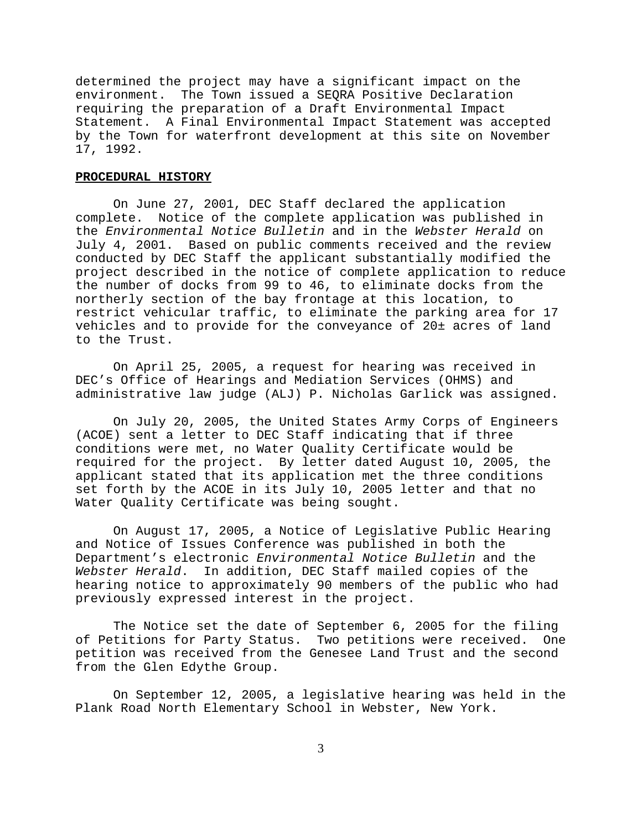determined the project may have a significant impact on the environment. The Town issued a SEQRA Positive Declaration requiring the preparation of a Draft Environmental Impact Statement. A Final Environmental Impact Statement was accepted by the Town for waterfront development at this site on November 17, 1992.

#### **PROCEDURAL HISTORY**

On June 27, 2001, DEC Staff declared the application complete. Notice of the complete application was published in the *Environmental Notice Bulletin* and in the *Webster Herald* on July 4, 2001. Based on public comments received and the review conducted by DEC Staff the applicant substantially modified the project described in the notice of complete application to reduce the number of docks from 99 to 46, to eliminate docks from the northerly section of the bay frontage at this location, to restrict vehicular traffic, to eliminate the parking area for 17 vehicles and to provide for the conveyance of 20± acres of land to the Trust.

On April 25, 2005, a request for hearing was received in DEC's Office of Hearings and Mediation Services (OHMS) and administrative law judge (ALJ) P. Nicholas Garlick was assigned.

On July 20, 2005, the United States Army Corps of Engineers (ACOE) sent a letter to DEC Staff indicating that if three conditions were met, no Water Quality Certificate would be required for the project. By letter dated August 10, 2005, the applicant stated that its application met the three conditions set forth by the ACOE in its July 10, 2005 letter and that no Water Quality Certificate was being sought.

On August 17, 2005, a Notice of Legislative Public Hearing and Notice of Issues Conference was published in both the Department's electronic *Environmental Notice Bulletin* and the *Webster Herald*. In addition, DEC Staff mailed copies of the hearing notice to approximately 90 members of the public who had previously expressed interest in the project.

The Notice set the date of September 6, 2005 for the filing of Petitions for Party Status. Two petitions were received. One petition was received from the Genesee Land Trust and the second from the Glen Edythe Group.

On September 12, 2005, a legislative hearing was held in the Plank Road North Elementary School in Webster, New York.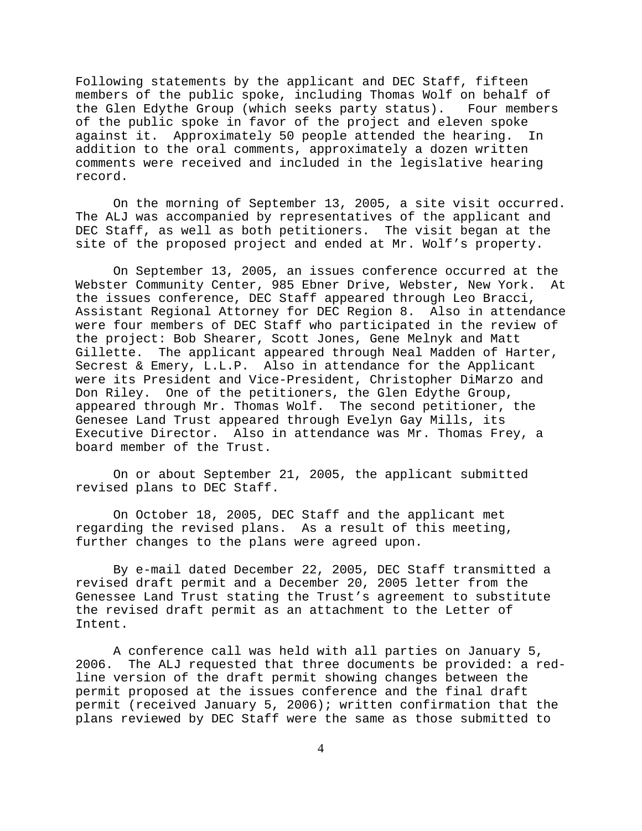Following statements by the applicant and DEC Staff, fifteen members of the public spoke, including Thomas Wolf on behalf of the Glen Edythe Group (which seeks party status). Four members of the public spoke in favor of the project and eleven spoke against it. Approximately 50 people attended the hearing. In addition to the oral comments, approximately a dozen written comments were received and included in the legislative hearing record.

On the morning of September 13, 2005, a site visit occurred. The ALJ was accompanied by representatives of the applicant and DEC Staff, as well as both petitioners. The visit began at the site of the proposed project and ended at Mr. Wolf's property.

On September 13, 2005, an issues conference occurred at the Webster Community Center, 985 Ebner Drive, Webster, New York. At the issues conference, DEC Staff appeared through Leo Bracci, Assistant Regional Attorney for DEC Region 8. Also in attendance were four members of DEC Staff who participated in the review of the project: Bob Shearer, Scott Jones, Gene Melnyk and Matt Gillette. The applicant appeared through Neal Madden of Harter, Secrest & Emery, L.L.P. Also in attendance for the Applicant were its President and Vice-President, Christopher DiMarzo and Don Riley. One of the petitioners, the Glen Edythe Group, appeared through Mr. Thomas Wolf. The second petitioner, the Genesee Land Trust appeared through Evelyn Gay Mills, its Executive Director. Also in attendance was Mr. Thomas Frey, a board member of the Trust.

On or about September 21, 2005, the applicant submitted revised plans to DEC Staff.

On October 18, 2005, DEC Staff and the applicant met regarding the revised plans. As a result of this meeting, further changes to the plans were agreed upon.

By e-mail dated December 22, 2005, DEC Staff transmitted a revised draft permit and a December 20, 2005 letter from the Genessee Land Trust stating the Trust's agreement to substitute the revised draft permit as an attachment to the Letter of Intent.

A conference call was held with all parties on January 5,<br>2006. The ALJ requested that three documents be provided: a r The ALJ requested that three documents be provided: a redline version of the draft permit showing changes between the permit proposed at the issues conference and the final draft permit (received January 5, 2006); written confirmation that the plans reviewed by DEC Staff were the same as those submitted to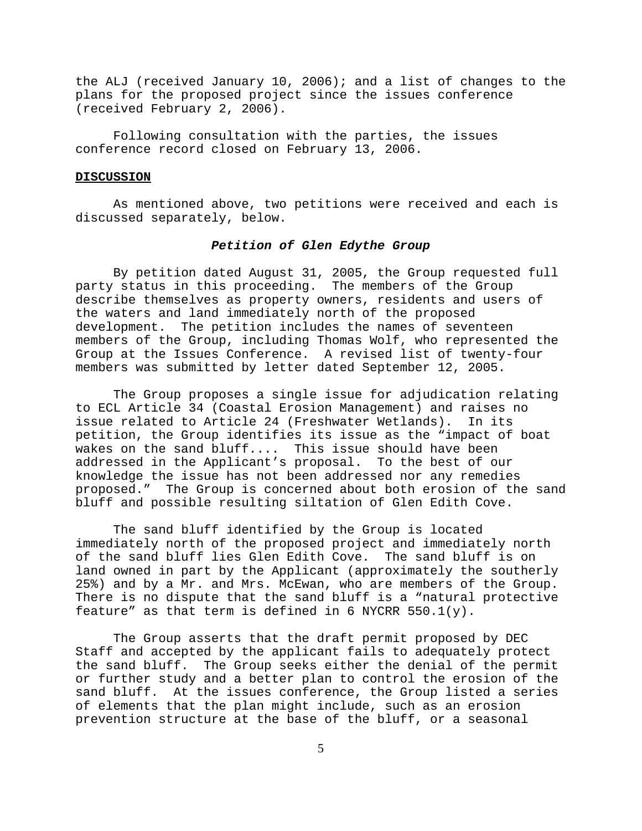the ALJ (received January 10, 2006); and a list of changes to the plans for the proposed project since the issues conference (received February 2, 2006).

Following consultation with the parties, the issues conference record closed on February 13, 2006.

### **DISCUSSION**

As mentioned above, two petitions were received and each is discussed separately, below.

### *Petition of Glen Edythe Group*

By petition dated August 31, 2005, the Group requested full party status in this proceeding. The members of the Group describe themselves as property owners, residents and users of the waters and land immediately north of the proposed development. The petition includes the names of seventeen members of the Group, including Thomas Wolf, who represented the Group at the Issues Conference. A revised list of twenty-four members was submitted by letter dated September 12, 2005.

The Group proposes a single issue for adjudication relating to ECL Article 34 (Coastal Erosion Management) and raises no issue related to Article 24 (Freshwater Wetlands). In its petition, the Group identifies its issue as the "impact of boat wakes on the sand bluff.... This issue should have been addressed in the Applicant's proposal. To the best of our knowledge the issue has not been addressed nor any remedies proposed." The Group is concerned about both erosion of the sand bluff and possible resulting siltation of Glen Edith Cove.

The sand bluff identified by the Group is located immediately north of the proposed project and immediately north of the sand bluff lies Glen Edith Cove. The sand bluff is on land owned in part by the Applicant (approximately the southerly 25%) and by a Mr. and Mrs. McEwan, who are members of the Group. There is no dispute that the sand bluff is a "natural protective feature" as that term is defined in 6 NYCRR  $550.1(y)$ .

The Group asserts that the draft permit proposed by DEC Staff and accepted by the applicant fails to adequately protect the sand bluff. The Group seeks either the denial of the permit or further study and a better plan to control the erosion of the sand bluff. At the issues conference, the Group listed a series of elements that the plan might include, such as an erosion prevention structure at the base of the bluff, or a seasonal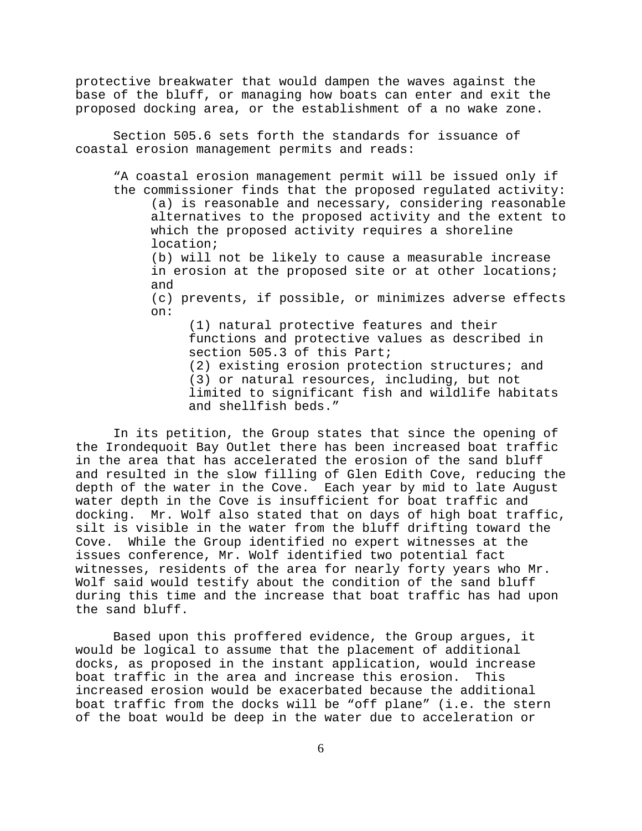protective breakwater that would dampen the waves against the base of the bluff, or managing how boats can enter and exit the proposed docking area, or the establishment of a no wake zone.

Section 505.6 sets forth the standards for issuance of coastal erosion management permits and reads:

"A coastal erosion management permit will be issued only if the commissioner finds that the proposed regulated activity: (a) is reasonable and necessary, considering reasonable alternatives to the proposed activity and the extent to which the proposed activity requires a shoreline location; (b) will not be likely to cause a measurable increase

in erosion at the proposed site or at other locations; and

(c) prevents, if possible, or minimizes adverse effects on:

(1) natural protective features and their functions and protective values as described in section 505.3 of this Part;

(2) existing erosion protection structures; and (3) or natural resources, including, but not limited to significant fish and wildlife habitats and shellfish beds."

In its petition, the Group states that since the opening of the Irondequoit Bay Outlet there has been increased boat traffic in the area that has accelerated the erosion of the sand bluff and resulted in the slow filling of Glen Edith Cove, reducing the depth of the water in the Cove. Each year by mid to late August water depth in the Cove is insufficient for boat traffic and docking. Mr. Wolf also stated that on days of high boat traffic, silt is visible in the water from the bluff drifting toward the Cove. While the Group identified no expert witnesses at the issues conference, Mr. Wolf identified two potential fact witnesses, residents of the area for nearly forty years who Mr. Wolf said would testify about the condition of the sand bluff during this time and the increase that boat traffic has had upon the sand bluff.

Based upon this proffered evidence, the Group argues, it would be logical to assume that the placement of additional docks, as proposed in the instant application, would increase boat traffic in the area and increase this erosion. This increased erosion would be exacerbated because the additional boat traffic from the docks will be "off plane" (i.e. the stern of the boat would be deep in the water due to acceleration or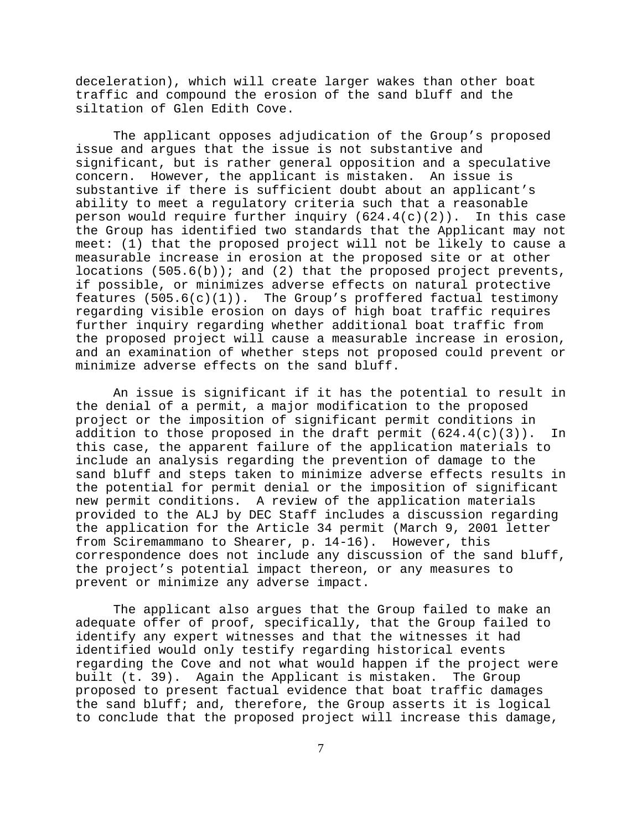deceleration), which will create larger wakes than other boat traffic and compound the erosion of the sand bluff and the siltation of Glen Edith Cove.

The applicant opposes adjudication of the Group's proposed issue and argues that the issue is not substantive and significant, but is rather general opposition and a speculative concern. However, the applicant is mistaken. An issue is substantive if there is sufficient doubt about an applicant's ability to meet a regulatory criteria such that a reasonable person would require further inquiry (624.4(c)(2)). In this case the Group has identified two standards that the Applicant may not meet: (1) that the proposed project will not be likely to cause a measurable increase in erosion at the proposed site or at other locations  $(505.6(b))$ ; and  $(2)$  that the proposed project prevents, if possible, or minimizes adverse effects on natural protective features  $(505.6(c)(1))$ . The Group's proffered factual testimony regarding visible erosion on days of high boat traffic requires further inquiry regarding whether additional boat traffic from the proposed project will cause a measurable increase in erosion, and an examination of whether steps not proposed could prevent or minimize adverse effects on the sand bluff.

An issue is significant if it has the potential to result in the denial of a permit, a major modification to the proposed project or the imposition of significant permit conditions in addition to those proposed in the draft permit  $(624.4(c)(3))$ . In this case, the apparent failure of the application materials to include an analysis regarding the prevention of damage to the sand bluff and steps taken to minimize adverse effects results in the potential for permit denial or the imposition of significant new permit conditions. A review of the application materials provided to the ALJ by DEC Staff includes a discussion regarding the application for the Article 34 permit (March 9, 2001 letter from Sciremammano to Shearer, p. 14-16). However, this correspondence does not include any discussion of the sand bluff, the project's potential impact thereon, or any measures to prevent or minimize any adverse impact.

The applicant also argues that the Group failed to make an adequate offer of proof, specifically, that the Group failed to identify any expert witnesses and that the witnesses it had identified would only testify regarding historical events regarding the Cove and not what would happen if the project were built (t. 39). Again the Applicant is mistaken. The Group proposed to present factual evidence that boat traffic damages the sand bluff; and, therefore, the Group asserts it is logical to conclude that the proposed project will increase this damage,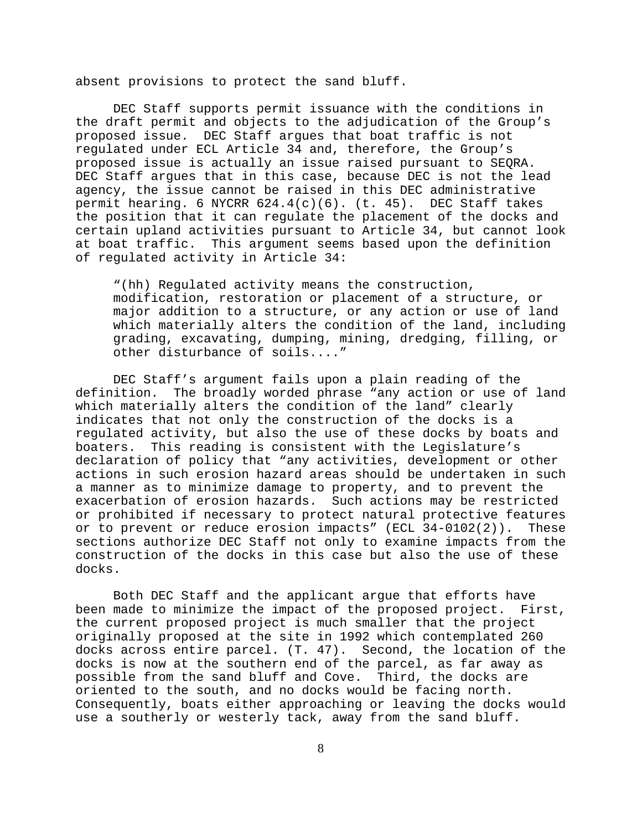absent provisions to protect the sand bluff.

DEC Staff supports permit issuance with the conditions in the draft permit and objects to the adjudication of the Group's proposed issue. DEC Staff argues that boat traffic is not regulated under ECL Article 34 and, therefore, the Group's proposed issue is actually an issue raised pursuant to SEQRA. DEC Staff argues that in this case, because DEC is not the lead agency, the issue cannot be raised in this DEC administrative permit hearing. 6 NYCRR  $624.4(c)(6)$ . (t. 45). DEC Staff takes the position that it can regulate the placement of the docks and certain upland activities pursuant to Article 34, but cannot look at boat traffic. This argument seems based upon the definition of regulated activity in Article 34:

"(hh) Regulated activity means the construction, modification, restoration or placement of a structure, or major addition to a structure, or any action or use of land which materially alters the condition of the land, including grading, excavating, dumping, mining, dredging, filling, or other disturbance of soils...."

DEC Staff's argument fails upon a plain reading of the definition. The broadly worded phrase "any action or use of land which materially alters the condition of the land" clearly indicates that not only the construction of the docks is a regulated activity, but also the use of these docks by boats and boaters. This reading is consistent with the Legislature's declaration of policy that "any activities, development or other actions in such erosion hazard areas should be undertaken in such a manner as to minimize damage to property, and to prevent the exacerbation of erosion hazards. Such actions may be restricted or prohibited if necessary to protect natural protective features or to prevent or reduce erosion impacts" (ECL 34-0102(2)). These sections authorize DEC Staff not only to examine impacts from the construction of the docks in this case but also the use of these docks.

Both DEC Staff and the applicant argue that efforts have been made to minimize the impact of the proposed project. First, the current proposed project is much smaller that the project originally proposed at the site in 1992 which contemplated 260 docks across entire parcel. (T. 47). Second, the location of the docks is now at the southern end of the parcel, as far away as possible from the sand bluff and Cove. Third, the docks are oriented to the south, and no docks would be facing north. Consequently, boats either approaching or leaving the docks would use a southerly or westerly tack, away from the sand bluff.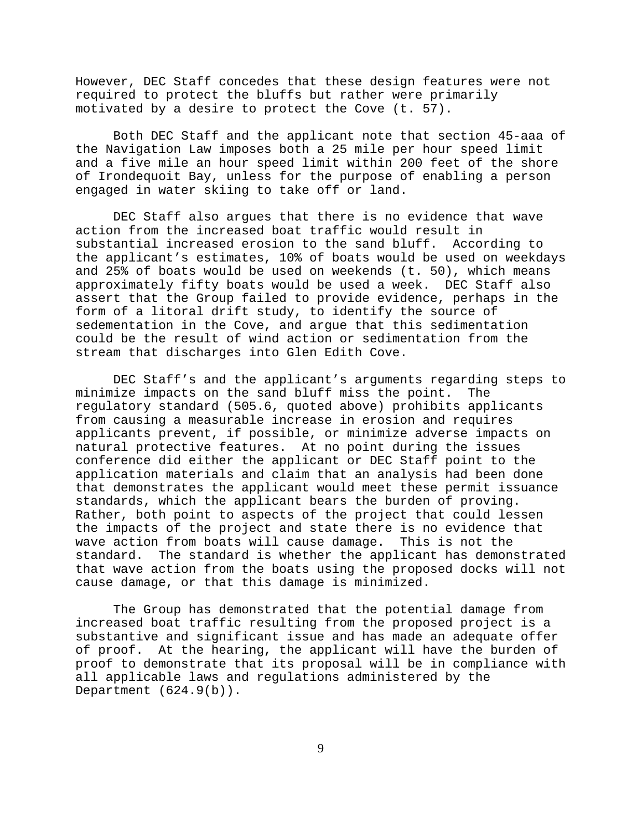However, DEC Staff concedes that these design features were not required to protect the bluffs but rather were primarily motivated by a desire to protect the Cove (t. 57).

Both DEC Staff and the applicant note that section 45-aaa of the Navigation Law imposes both a 25 mile per hour speed limit and a five mile an hour speed limit within 200 feet of the shore of Irondequoit Bay, unless for the purpose of enabling a person engaged in water skiing to take off or land.

DEC Staff also argues that there is no evidence that wave action from the increased boat traffic would result in substantial increased erosion to the sand bluff. According to the applicant's estimates, 10% of boats would be used on weekdays and 25% of boats would be used on weekends (t. 50), which means approximately fifty boats would be used a week. DEC Staff also assert that the Group failed to provide evidence, perhaps in the form of a litoral drift study, to identify the source of sedementation in the Cove, and argue that this sedimentation could be the result of wind action or sedimentation from the stream that discharges into Glen Edith Cove.

DEC Staff's and the applicant's arguments regarding steps to minimize impacts on the sand bluff miss the point. The regulatory standard (505.6, quoted above) prohibits applicants from causing a measurable increase in erosion and requires applicants prevent, if possible, or minimize adverse impacts on natural protective features. At no point during the issues conference did either the applicant or DEC Staff point to the application materials and claim that an analysis had been done that demonstrates the applicant would meet these permit issuance standards, which the applicant bears the burden of proving. Rather, both point to aspects of the project that could lessen the impacts of the project and state there is no evidence that wave action from boats will cause damage. This is not the standard. The standard is whether the applicant has demonstrated that wave action from the boats using the proposed docks will not cause damage, or that this damage is minimized.

The Group has demonstrated that the potential damage from increased boat traffic resulting from the proposed project is a substantive and significant issue and has made an adequate offer of proof. At the hearing, the applicant will have the burden of proof to demonstrate that its proposal will be in compliance with all applicable laws and regulations administered by the Department (624.9(b)).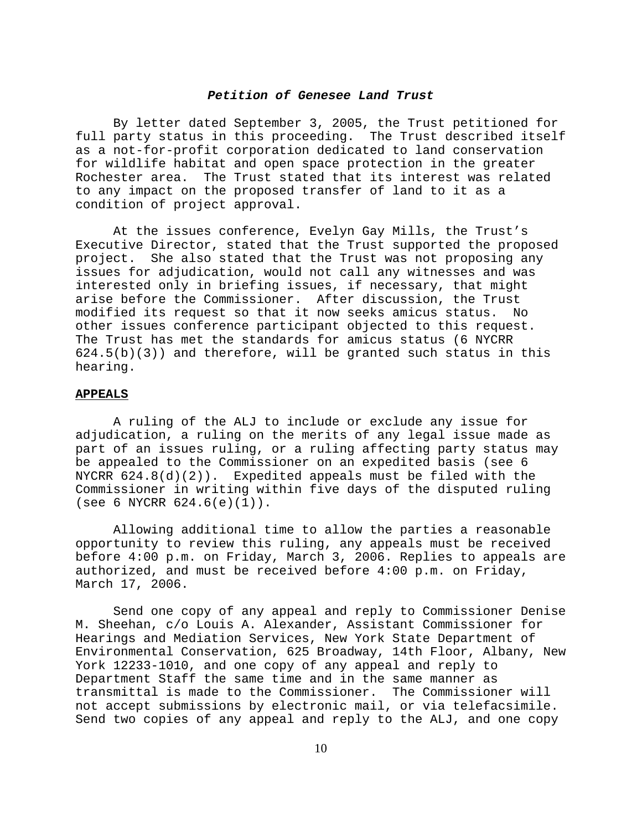## *Petition of Genesee Land Trust*

By letter dated September 3, 2005, the Trust petitioned for full party status in this proceeding. The Trust described itself as a not-for-profit corporation dedicated to land conservation for wildlife habitat and open space protection in the greater Rochester area. The Trust stated that its interest was related to any impact on the proposed transfer of land to it as a condition of project approval.

At the issues conference, Evelyn Gay Mills, the Trust's Executive Director, stated that the Trust supported the proposed project. She also stated that the Trust was not proposing any issues for adjudication, would not call any witnesses and was interested only in briefing issues, if necessary, that might arise before the Commissioner. After discussion, the Trust modified its request so that it now seeks amicus status. No other issues conference participant objected to this request. The Trust has met the standards for amicus status (6 NYCRR  $624.5(b)(3)$  and therefore, will be granted such status in this hearing.

## **APPEALS**

A ruling of the ALJ to include or exclude any issue for adjudication, a ruling on the merits of any legal issue made as part of an issues ruling, or a ruling affecting party status may be appealed to the Commissioner on an expedited basis (see 6 NYCRR  $624.8(d)(2)$ . Expedited appeals must be filed with the Commissioner in writing within five days of the disputed ruling (see 6 NYCRR  $624.6(e)(1)$ ).

Allowing additional time to allow the parties a reasonable opportunity to review this ruling, any appeals must be received before 4:00 p.m. on Friday, March 3, 2006. Replies to appeals are authorized, and must be received before 4:00 p.m. on Friday, March 17, 2006.

Send one copy of any appeal and reply to Commissioner Denise M. Sheehan, c/o Louis A. Alexander, Assistant Commissioner for Hearings and Mediation Services, New York State Department of Environmental Conservation, 625 Broadway, 14th Floor, Albany, New York 12233-1010, and one copy of any appeal and reply to Department Staff the same time and in the same manner as transmittal is made to the Commissioner. The Commissioner will not accept submissions by electronic mail, or via telefacsimile. Send two copies of any appeal and reply to the ALJ, and one copy